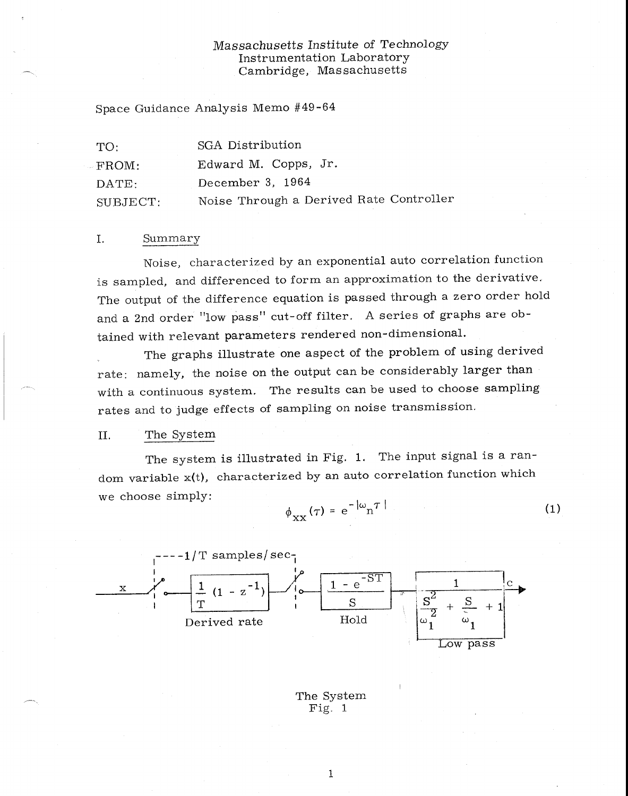# *Massachusetts* Institute of Technology Instrumentation Laboratory Cambridge, Massachusetts

Space Guidance Analysis Memo #49-64

| TO:            | SGA Distribution                        |
|----------------|-----------------------------------------|
| FROM:          | Edward M. Copps, Jr.                    |
| $\text{DATE:}$ | December 3, 1964                        |
| SUBJECT:       | Noise Through a Derived Rate Controller |

### I. Summary

Noise, characterized by an exponential auto correlation function is sampled, and differenced to form an approximation to the derivative. The output of the difference equation is passed through a zero order hold and a 2nd order "low pass" cut-off filter. A series of graphs are obtained with relevant parameters rendered non-dimensional.

The graphs illustrate one aspect of the problem of using derived rate: namely, the noise on the output can be considerably larger than with a continuous system. The results can be used to choose sampling rates and to judge effects of sampling on noise transmission.

#### II. The System

The system is illustrated in Fig. 1. The input signal is a random variable x(t), characterized by an auto correlation function which we choose simply:

$$
\phi_{\rm XX}(\tau) = e^{-|\omega} n^{\tau}
$$
 (1)



The System Fig. 1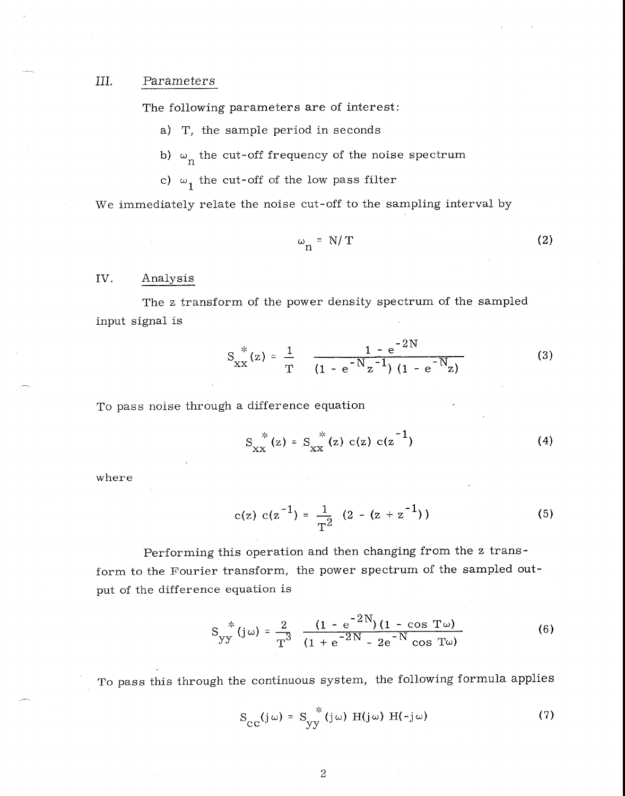## III. Parameters

The following parameters are of interest:

a) T, the sample period in seconds

b)  $\omega_n$  the cut-off frequency of the noise spectrum

c)  $\omega_1$  the cut-off of the low pass filter

We immediately relate the noise cut-off to the sampling interval by

$$
\omega_{\rm n} = N/T \tag{2}
$$

#### IV, Analysis

The z transform of the power density spectrum of the sampled input signal is

$$
S_{XX}^{*}(z) = \frac{1}{T} \frac{1 - e^{-2N}}{(1 - e^{-N}z^{-1})(1 - e^{-N}z)}
$$
(3)

To pass noise through a difference equation

$$
S_{XX}^*(z) = S_{XX}^*(z) c(z) c(z^{-1})
$$
 (4)

where

$$
c(z) \ c(z^{-1}) = \frac{1}{T^2} \ (2 - (z + z^{-1})) \tag{5}
$$

Performing this operation and then changing from the z transform to the Fourier transform, the power spectrum of the sampled output of the difference equation is

$$
S_{yy}^{*}(j\omega) = \frac{2}{T^{3}} \frac{(1 - e^{-2N})(1 - \cos T\omega)}{(1 + e^{-2N} - 2e^{-N}\cos T\omega)}
$$
(6)

To pass this through the continuous system, the following formula applies

$$
S_{\text{CC}}(j\,\omega) = S_{yy}^*(j\,\omega) H(j\,\omega) H(-j\,\omega)
$$
 (7)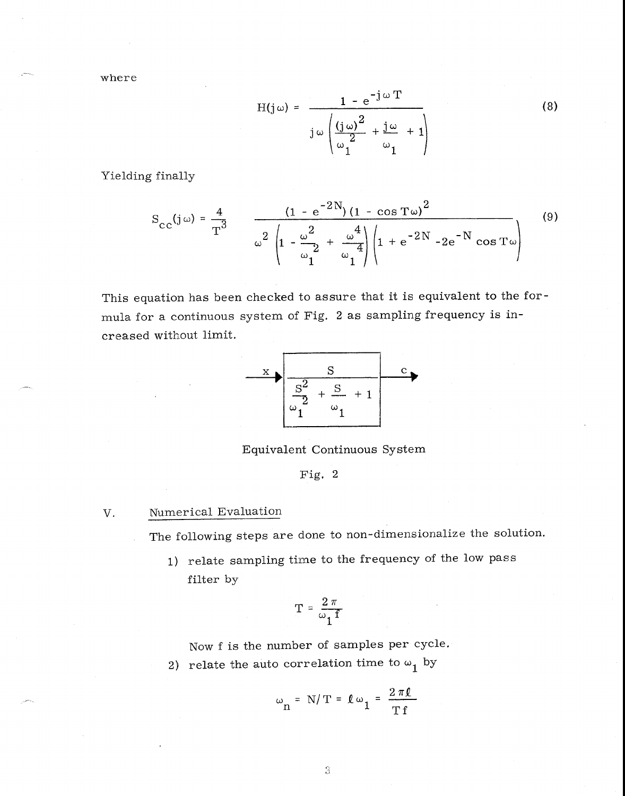where

$$
H(j\omega) = \frac{1 - e^{-j\omega T}}{j\omega \left(\frac{(j\omega)^2}{\omega_1^2} + \frac{j\omega}{\omega_1} + 1\right)}
$$
(8)

Yielding finally

$$
S_{\text{cc}}(j\,\omega) = \frac{4}{T^3} \qquad \frac{(1 - e^{-2N})(1 - \cos T\,\omega)^2}{\omega^2 \left(1 - \frac{\omega^2}{\omega_1^2} + \frac{\omega^4}{\omega_1^4}\right) \left(1 + e^{-2N} - 2e^{-N}\cos T\,\omega\right)} \tag{9}
$$

This equation has been checked to assure that it is equivalent to the formula for a continuous system of Fig. 2 as sampling frequency is increased without limit.



Equivalent Continuous System

Fig. 2

# V. Numerical Evaluation

The following steps are done to non-dimensionalize the solution.

1) relate sampling time to the frequency of the low pass filter by

$$
T = \frac{2 \pi}{\omega_1 f}
$$

Now f is the number of samples per cycle.

2) relate the auto correlation time to  $\omega_1$  by

$$
\omega_{\mathbf{n}} = \mathbf{N}/\mathbf{T} = \ell \omega_{\mathbf{1}} = \frac{2\pi\ell}{\mathbf{T} \mathbf{f}}
$$

 $\mathbb S$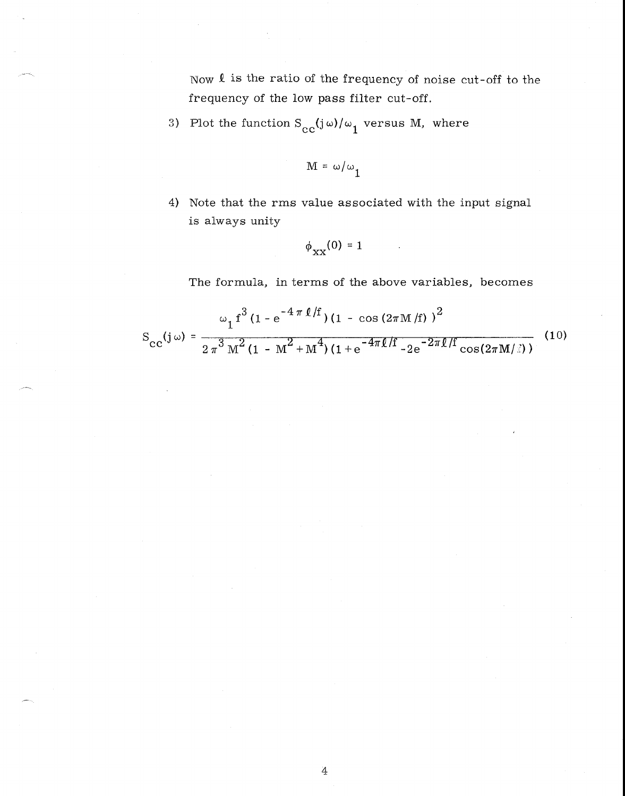Now Q is the ratio of the frequency of noise cut-off to the frequency of the low pass filter cut-off.

3) Plot the function  $S_{cc}(j\omega)/\omega_1$  versus M, where

$$
M = \omega/\omega_1
$$

4) Note that the rms value associated with the input signal is always unity

$$
\phi_{XX}(0) = 1
$$

The formula, in terms of the above variables, becomes

$$
S_{\text{CC}}(j\,\omega) = \frac{\omega_1 f^3 (1 - e^{-4\,\pi\,\ell/f}) (1 - \cos\,(2\pi\,M/f))^2}{2\,\pi^3\,M^2 (1 - M^2 + M^4) (1 + e^{-4\pi\ell/f} - 2e^{-2\pi\ell/f}\cos(2\pi\,M/\text{s}))}
$$
(10)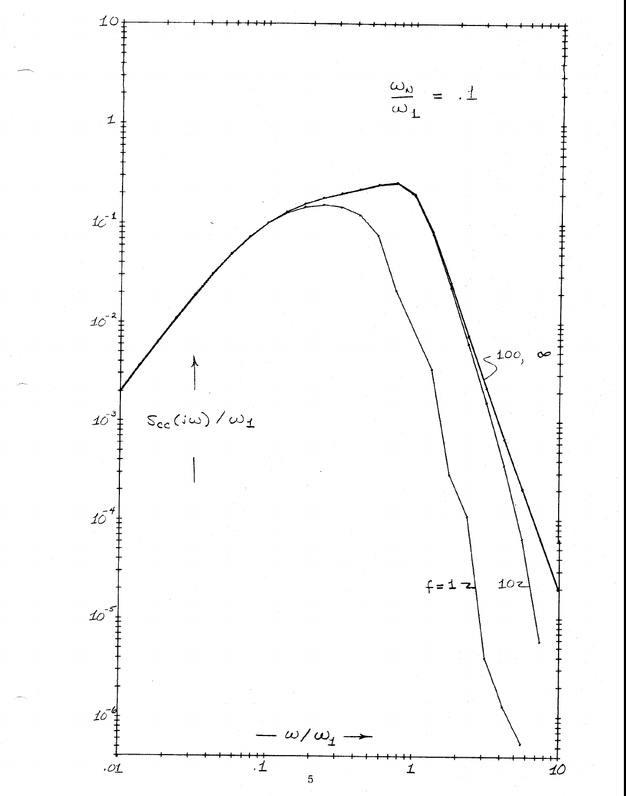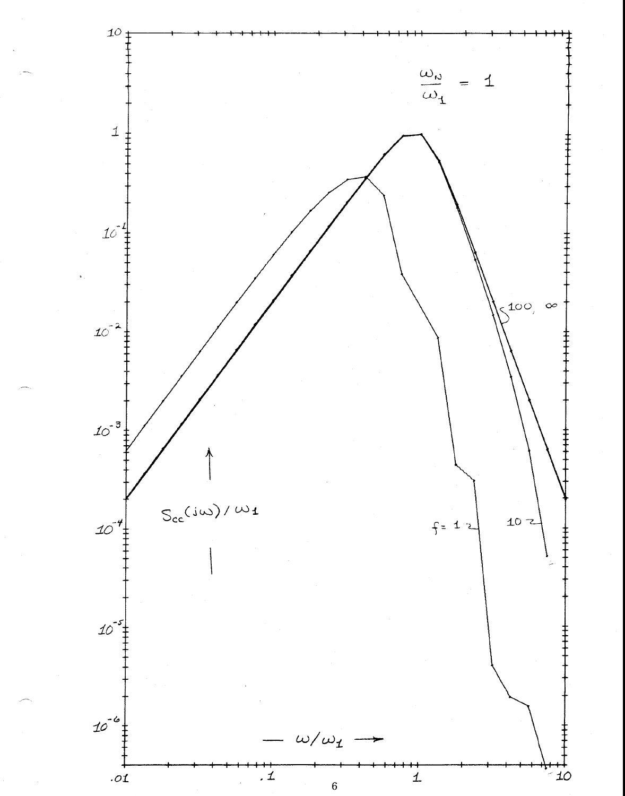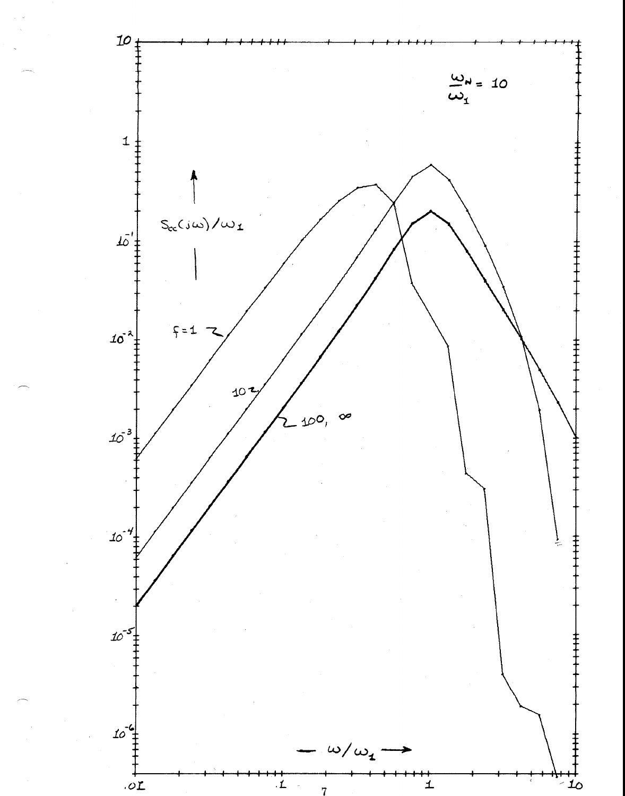